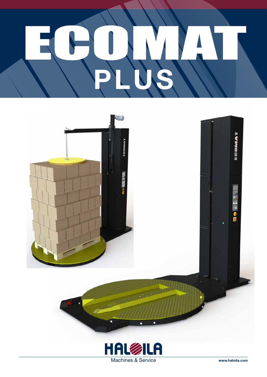



Machines & Service